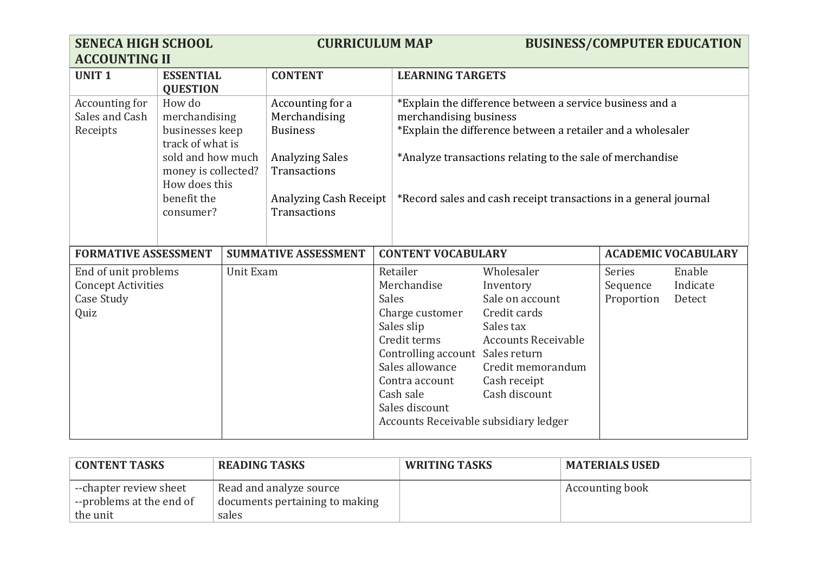| <b>SENECA HIGH SCHOOL</b><br><b>ACCOUNTING II</b>                       |                                                                                                                                                         |           |                                                                                                                                                                                                                                                                                                                                                                                                                                       | <b>CURRICULUM MAP</b>                                                                                                                                                                                                                     |                                                                                                                                                             |                                  | <b>BUSINESS/COMPUTER EDUCATION</b> |
|-------------------------------------------------------------------------|---------------------------------------------------------------------------------------------------------------------------------------------------------|-----------|---------------------------------------------------------------------------------------------------------------------------------------------------------------------------------------------------------------------------------------------------------------------------------------------------------------------------------------------------------------------------------------------------------------------------------------|-------------------------------------------------------------------------------------------------------------------------------------------------------------------------------------------------------------------------------------------|-------------------------------------------------------------------------------------------------------------------------------------------------------------|----------------------------------|------------------------------------|
| <b>UNIT1</b>                                                            | <b>ESSENTIAL</b><br><b>QUESTION</b>                                                                                                                     |           | <b>CONTENT</b>                                                                                                                                                                                                                                                                                                                                                                                                                        | <b>LEARNING TARGETS</b>                                                                                                                                                                                                                   |                                                                                                                                                             |                                  |                                    |
| Accounting for<br>Sales and Cash<br>Receipts                            | How do<br>merchandising<br>businesses keep<br>track of what is<br>sold and how much<br>money is collected?<br>How does this<br>benefit the<br>consumer? |           | Accounting for a<br>*Explain the difference between a service business and a<br>Merchandising<br>merchandising business<br>*Explain the difference between a retailer and a wholesaler<br><b>Business</b><br>*Analyze transactions relating to the sale of merchandise<br><b>Analyzing Sales</b><br>Transactions<br><b>Analyzing Cash Receipt</b><br>*Record sales and cash receipt transactions in a general journal<br>Transactions |                                                                                                                                                                                                                                           |                                                                                                                                                             |                                  |                                    |
| <b>FORMATIVE ASSESSMENT</b>                                             |                                                                                                                                                         |           | <b>SUMMATIVE ASSESSMENT</b>                                                                                                                                                                                                                                                                                                                                                                                                           | <b>CONTENT VOCABULARY</b>                                                                                                                                                                                                                 |                                                                                                                                                             |                                  | <b>ACADEMIC VOCABULARY</b>         |
| End of unit problems<br><b>Concept Activities</b><br>Case Study<br>Quiz |                                                                                                                                                         | Unit Exam |                                                                                                                                                                                                                                                                                                                                                                                                                                       | Retailer<br>Merchandise<br><b>Sales</b><br>Charge customer<br>Sales slip<br>Credit terms<br>Controlling account Sales return<br>Sales allowance<br>Contra account<br>Cash sale<br>Sales discount<br>Accounts Receivable subsidiary ledger | Wholesaler<br>Inventory<br>Sale on account<br>Credit cards<br>Sales tax<br><b>Accounts Receivable</b><br>Credit memorandum<br>Cash receipt<br>Cash discount | Series<br>Sequence<br>Proportion | Enable<br>Indicate<br>Detect       |

| <b>CONTENT TASKS</b>                                                     | <b>READING TASKS</b>                                               | <b>WRITING TASKS</b> | <b>MATERIALS USED</b>  |
|--------------------------------------------------------------------------|--------------------------------------------------------------------|----------------------|------------------------|
| $\vdash$ --chapter review sheet<br> --problems at the end of<br>the unit | Read and analyze source<br>documents pertaining to making<br>sales |                      | <b>Accounting book</b> |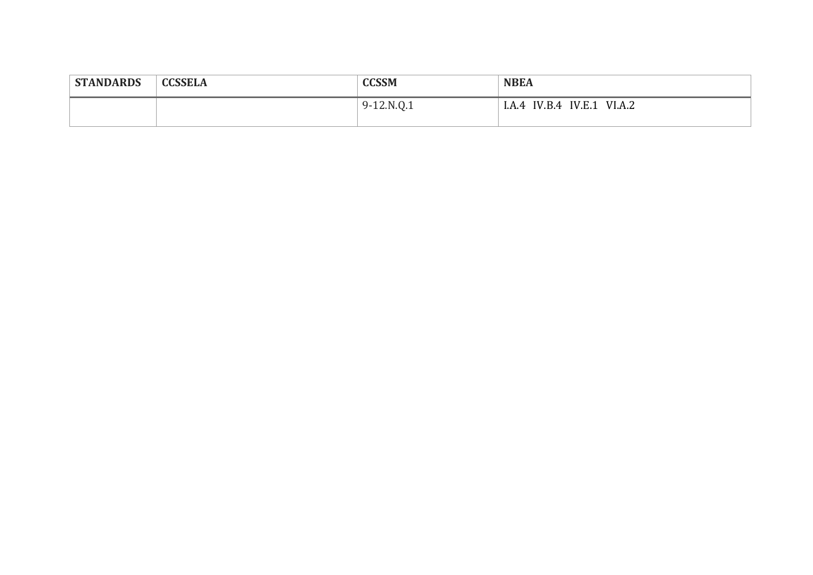| <b>STANDARDS</b> | <b>CCSSELA</b> | <b>CCSSM</b> | <b>NBEA</b>                         |  |
|------------------|----------------|--------------|-------------------------------------|--|
|                  |                | $9-12.N.Q.1$ | IV.E.1<br>VI.A.2<br>IV.B.4<br>1.A.4 |  |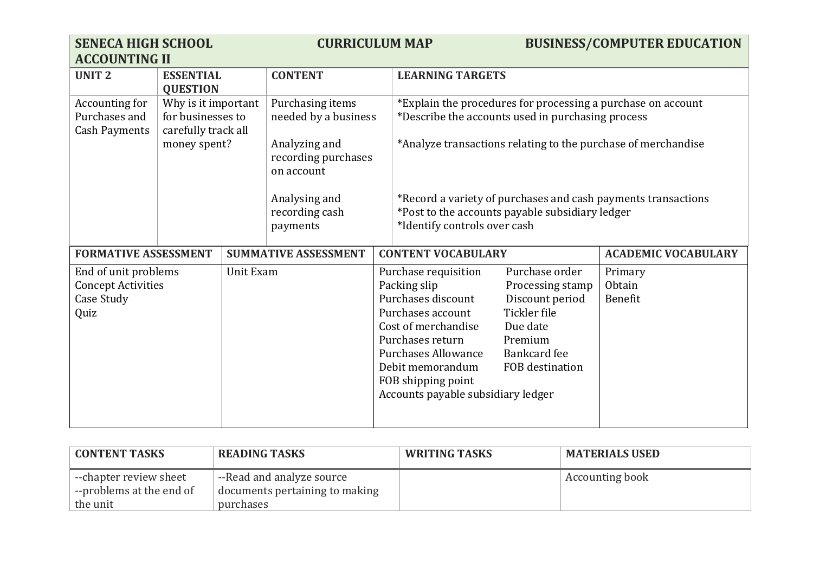| <b>SENECA HIGH SCHOOL</b><br><b>ACCOUNTING II</b>                       |                                                                 |           | <b>CURRICULUM MAP</b>                                                                             |  |                                                                                                                                                                                                                                          |                                                                                                                                 | <b>BUSINESS/COMPUTER EDUCATION</b>                           |
|-------------------------------------------------------------------------|-----------------------------------------------------------------|-----------|---------------------------------------------------------------------------------------------------|--|------------------------------------------------------------------------------------------------------------------------------------------------------------------------------------------------------------------------------------------|---------------------------------------------------------------------------------------------------------------------------------|--------------------------------------------------------------|
| <b>UNIT2</b>                                                            | <b>ESSENTIAL</b><br><b>QUESTION</b>                             |           | <b>CONTENT</b><br><b>LEARNING TARGETS</b>                                                         |  |                                                                                                                                                                                                                                          |                                                                                                                                 |                                                              |
| Accounting for<br>Purchases and<br><b>Cash Payments</b>                 | Why is it important<br>for businesses to<br>carefully track all |           | Purchasing items<br>needed by a business                                                          |  |                                                                                                                                                                                                                                          | *Describe the accounts used in purchasing process                                                                               | *Explain the procedures for processing a purchase on account |
|                                                                         | money spent?                                                    |           | Analyzing and<br>recording purchases<br>on account<br>Analysing and<br>recording cash<br>payments |  | *Analyze transactions relating to the purchase of merchandise                                                                                                                                                                            |                                                                                                                                 |                                                              |
|                                                                         |                                                                 |           |                                                                                                   |  | *Record a variety of purchases and cash payments transactions<br>*Post to the accounts payable subsidiary ledger<br>*Identify controls over cash                                                                                         |                                                                                                                                 |                                                              |
| <b>FORMATIVE ASSESSMENT</b>                                             |                                                                 |           | <b>SUMMATIVE ASSESSMENT</b>                                                                       |  | <b>CONTENT VOCABULARY</b>                                                                                                                                                                                                                |                                                                                                                                 | <b>ACADEMIC VOCABULARY</b>                                   |
| End of unit problems<br><b>Concept Activities</b><br>Case Study<br>Quiz |                                                                 | Unit Exam |                                                                                                   |  | Purchase requisition<br>Packing slip<br>Purchases discount<br>Purchases account<br>Cost of merchandise<br>Purchases return<br><b>Purchases Allowance</b><br>Debit memorandum<br>FOB shipping point<br>Accounts payable subsidiary ledger | Purchase order<br>Processing stamp<br>Discount period<br>Tickler file<br>Due date<br>Premium<br>Bankcard fee<br>FOB destination | Primary<br>Obtain<br>Benefit                                 |

| <b>CONTENT TASKS</b>     | <b>READING TASKS</b>           | <b>WRITING TASKS</b> | <b>MATERIALS USED</b> |
|--------------------------|--------------------------------|----------------------|-----------------------|
| --chapter review sheet   | --Read and analyze source      |                      | Accounting book       |
| --problems at the end of | documents pertaining to making |                      |                       |
| the unit                 | purchases                      |                      |                       |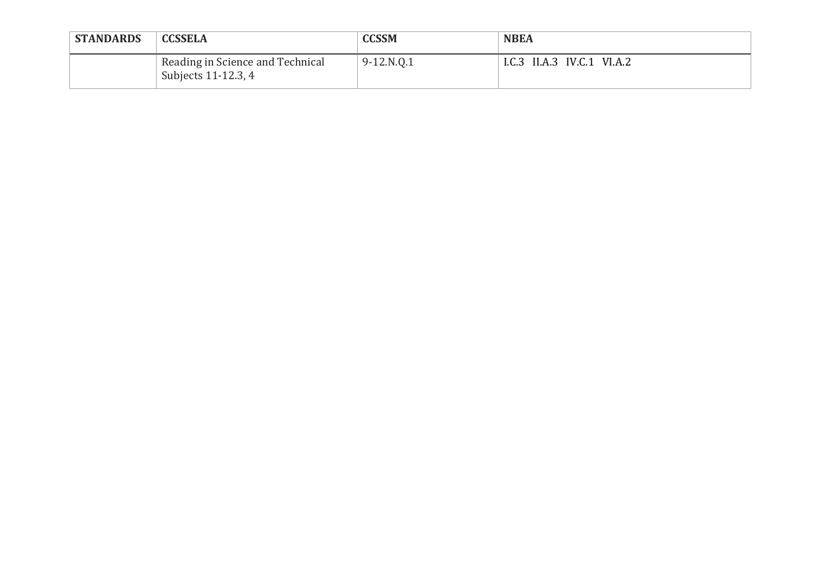| <b>STANDARDS</b> | <b>CCSSELA</b>                                          | <b>CCSSM</b> | <b>NBEA</b>                |
|------------------|---------------------------------------------------------|--------------|----------------------------|
|                  | Reading in Science and Technical<br>Subjects 11-12.3, 4 | 9-12.N.Q.1   | I.C.3 II.A.3 IV.C.1 VI.A.2 |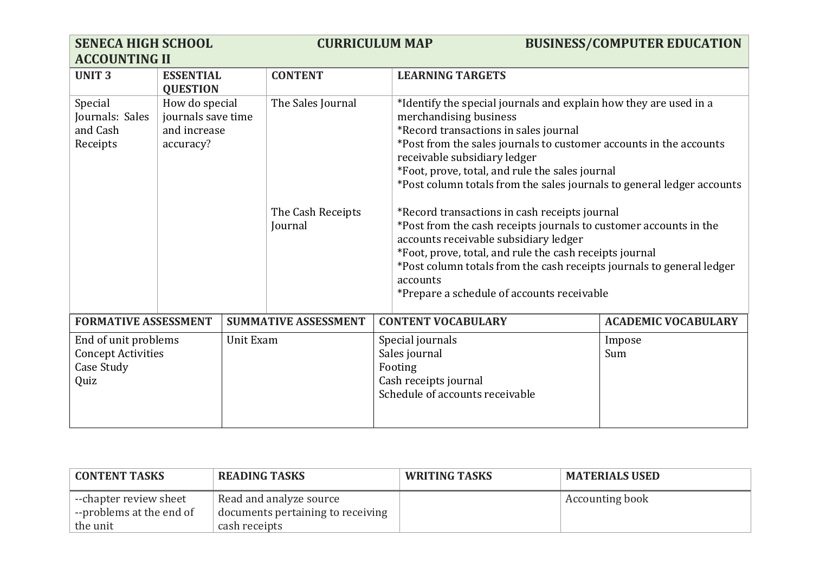| <b>SENECA HIGH SCHOOL</b><br><b>ACCOUNTING II</b>                                    |                                                                   |  | <b>CURRICULUM MAP</b>                                                                                    |                                                                                                                                                                                                                                                                                                                                                                                                                                                                                                                                                                                                                                                                                                                                      | <b>BUSINESS/COMPUTER EDUCATION</b> |
|--------------------------------------------------------------------------------------|-------------------------------------------------------------------|--|----------------------------------------------------------------------------------------------------------|--------------------------------------------------------------------------------------------------------------------------------------------------------------------------------------------------------------------------------------------------------------------------------------------------------------------------------------------------------------------------------------------------------------------------------------------------------------------------------------------------------------------------------------------------------------------------------------------------------------------------------------------------------------------------------------------------------------------------------------|------------------------------------|
| <b>UNIT3</b>                                                                         | <b>ESSENTIAL</b><br><b>QUESTION</b>                               |  | <b>CONTENT</b>                                                                                           | <b>LEARNING TARGETS</b>                                                                                                                                                                                                                                                                                                                                                                                                                                                                                                                                                                                                                                                                                                              |                                    |
| Special<br>Journals: Sales<br>and Cash<br>Receipts                                   | How do special<br>journals save time<br>and increase<br>accuracy? |  | The Sales Journal<br>The Cash Receipts<br>Journal                                                        | *Identify the special journals and explain how they are used in a<br>merchandising business<br>*Record transactions in sales journal<br>*Post from the sales journals to customer accounts in the accounts<br>receivable subsidiary ledger<br>*Foot, prove, total, and rule the sales journal<br>*Post column totals from the sales journals to general ledger accounts<br>*Record transactions in cash receipts journal<br>*Post from the cash receipts journals to customer accounts in the<br>accounts receivable subsidiary ledger<br>*Foot, prove, total, and rule the cash receipts journal<br>*Post column totals from the cash receipts journals to general ledger<br>accounts<br>*Prepare a schedule of accounts receivable |                                    |
| <b>FORMATIVE ASSESSMENT</b>                                                          |                                                                   |  | <b>SUMMATIVE ASSESSMENT</b>                                                                              | <b>CONTENT VOCABULARY</b>                                                                                                                                                                                                                                                                                                                                                                                                                                                                                                                                                                                                                                                                                                            | <b>ACADEMIC VOCABULARY</b>         |
| End of unit problems<br>Unit Exam<br><b>Concept Activities</b><br>Case Study<br>Quiz |                                                                   |  | Special journals<br>Sales journal<br>Footing<br>Cash receipts journal<br>Schedule of accounts receivable | Impose<br>Sum                                                                                                                                                                                                                                                                                                                                                                                                                                                                                                                                                                                                                                                                                                                        |                                    |

| <b>CONTENT TASKS</b>            | READING TASKS                     | <b>WRITING TASKS</b> | <b>MATERIALS USED</b> |
|---------------------------------|-----------------------------------|----------------------|-----------------------|
| $\vdash$ --chapter review sheet | Read and analyze source           |                      | Accounting book       |
| --problems at the end of        | documents pertaining to receiving |                      |                       |
| the unit                        | cash receipts                     |                      |                       |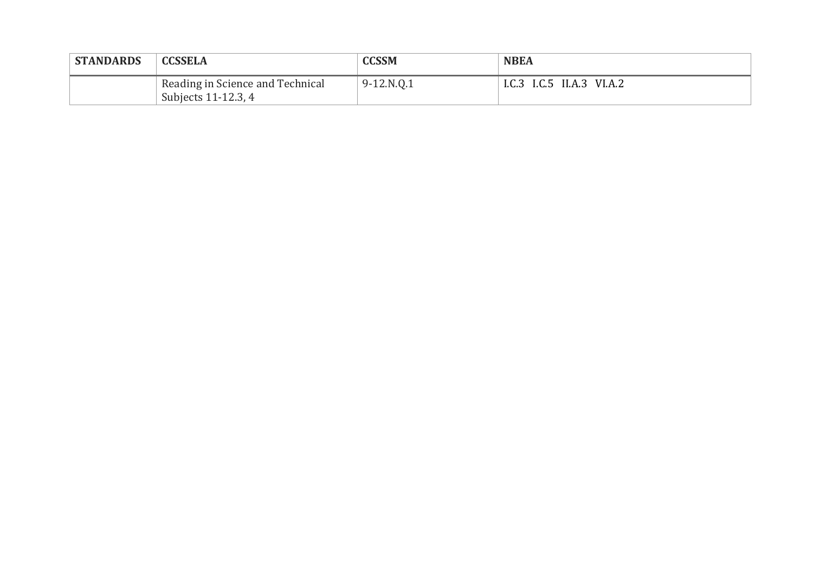| <b>STANDARDS</b> | <b>CCSSELA</b>                                          | <b>CCSSM</b> | <b>NBEA</b>               |
|------------------|---------------------------------------------------------|--------------|---------------------------|
|                  | Reading in Science and Technical<br>Subjects 11-12.3, 4 | $9-12.N.Q.1$ | I.C.3 I.C.5 II.A.3 VI.A.2 |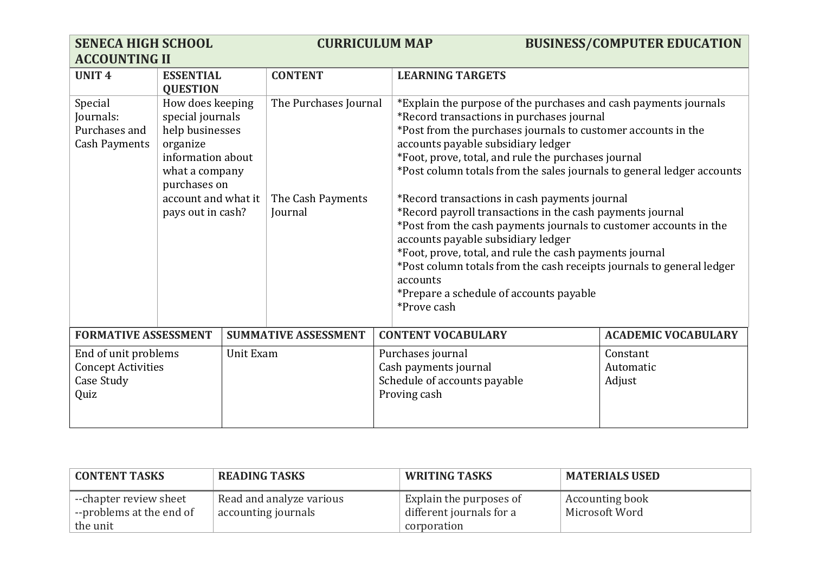| <b>SENECA HIGH SCHOOL</b><br><b>ACCOUNTING II</b>                       |                                                                                                                                                                                                                                 |           |                             | <b>CURRICULUM MAP</b>                                                                                                                                                                                                                                                                                                                                                                                                                                                                                                                                                                                                                                                                                                                                         |  | <b>BUSINESS/COMPUTER EDUCATION</b> |
|-------------------------------------------------------------------------|---------------------------------------------------------------------------------------------------------------------------------------------------------------------------------------------------------------------------------|-----------|-----------------------------|---------------------------------------------------------------------------------------------------------------------------------------------------------------------------------------------------------------------------------------------------------------------------------------------------------------------------------------------------------------------------------------------------------------------------------------------------------------------------------------------------------------------------------------------------------------------------------------------------------------------------------------------------------------------------------------------------------------------------------------------------------------|--|------------------------------------|
| <b>UNIT4</b>                                                            | <b>ESSENTIAL</b><br><b>QUESTION</b>                                                                                                                                                                                             |           | <b>CONTENT</b>              | <b>LEARNING TARGETS</b>                                                                                                                                                                                                                                                                                                                                                                                                                                                                                                                                                                                                                                                                                                                                       |  |                                    |
| Special<br>Journals:<br>Purchases and<br><b>Cash Payments</b>           | How does keeping<br>The Purchases Journal<br>special journals<br>help businesses<br>organize<br>information about<br>what a company<br>purchases on<br>account and what it<br>The Cash Payments<br>pays out in cash?<br>Journal |           | accounts<br>*Prove cash     | *Explain the purpose of the purchases and cash payments journals<br>*Record transactions in purchases journal<br>*Post from the purchases journals to customer accounts in the<br>accounts payable subsidiary ledger<br>*Foot, prove, total, and rule the purchases journal<br>*Post column totals from the sales journals to general ledger accounts<br>*Record transactions in cash payments journal<br>*Record payroll transactions in the cash payments journal<br>*Post from the cash payments journals to customer accounts in the<br>accounts payable subsidiary ledger<br>*Foot, prove, total, and rule the cash payments journal<br>*Post column totals from the cash receipts journals to general ledger<br>*Prepare a schedule of accounts payable |  |                                    |
| <b>FORMATIVE ASSESSMENT</b>                                             |                                                                                                                                                                                                                                 |           | <b>SUMMATIVE ASSESSMENT</b> | <b>CONTENT VOCABULARY</b>                                                                                                                                                                                                                                                                                                                                                                                                                                                                                                                                                                                                                                                                                                                                     |  | <b>ACADEMIC VOCABULARY</b>         |
| End of unit problems<br><b>Concept Activities</b><br>Case Study<br>Quiz |                                                                                                                                                                                                                                 | Unit Exam |                             | Purchases journal<br>Constant<br>Cash payments journal<br>Automatic<br>Schedule of accounts payable<br>Adjust<br>Proving cash                                                                                                                                                                                                                                                                                                                                                                                                                                                                                                                                                                                                                                 |  |                                    |

| <b>CONTENT TASKS</b>                    | <b>READING TASKS</b>     | <b>WRITING TASKS</b>     | <b>MATERIALS USED</b>  |
|-----------------------------------------|--------------------------|--------------------------|------------------------|
| --chapter review sheet                  | Read and analyze various | Explain the purposes of  | <b>Accounting book</b> |
| $\overline{ }$ --problems at the end of | accounting journals      | different journals for a | Microsoft Word         |
| the unit                                |                          | corporation              |                        |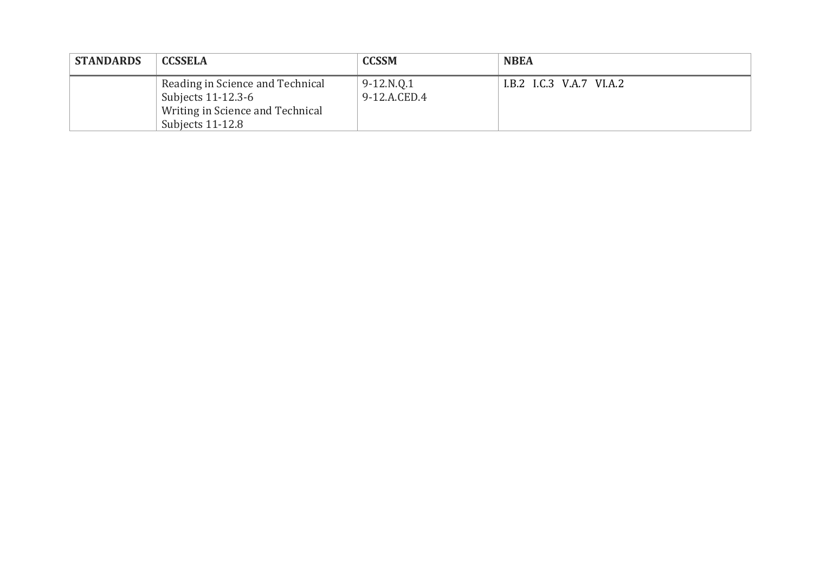| <b>STANDARDS</b> | <b>CCSSELA</b>                                                                                                 | <b>CCSSM</b>                 | <b>NBEA</b>              |
|------------------|----------------------------------------------------------------------------------------------------------------|------------------------------|--------------------------|
|                  | Reading in Science and Technical<br>Subjects 11-12.3-6<br>Writing in Science and Technical<br>Subjects 11-12.8 | $9-12.N.0.1$<br>9-12.A.CED.4 | I.B.2 I.C.3 V.A.7 VI.A.2 |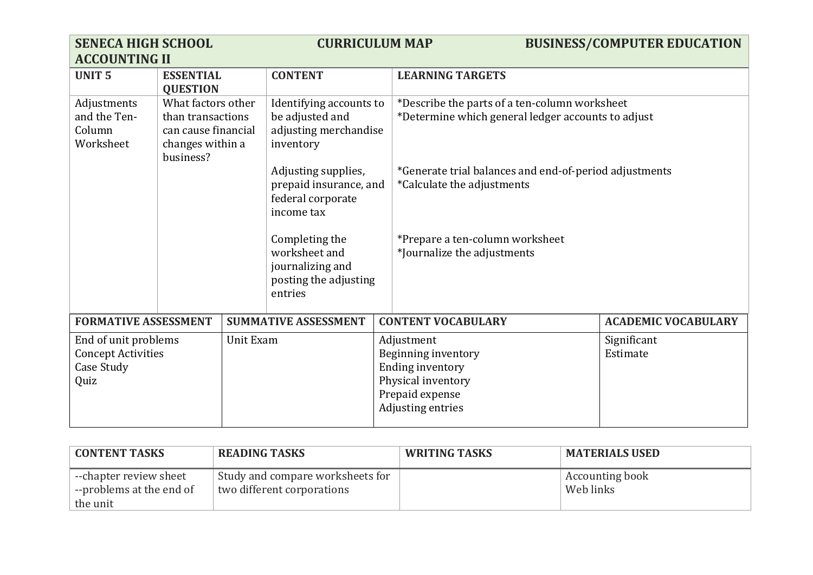| <b>SENECA HIGH SCHOOL</b>                                                            |                                                                                                 |  | <b>CURRICULUM MAP</b>                                                                   |                                                                                                                            |                                                                                                     | <b>BUSINESS/COMPUTER EDUCATION</b> |
|--------------------------------------------------------------------------------------|-------------------------------------------------------------------------------------------------|--|-----------------------------------------------------------------------------------------|----------------------------------------------------------------------------------------------------------------------------|-----------------------------------------------------------------------------------------------------|------------------------------------|
| <b>ACCOUNTING II</b>                                                                 |                                                                                                 |  |                                                                                         |                                                                                                                            |                                                                                                     |                                    |
| <b>UNIT5</b>                                                                         | <b>ESSENTIAL</b><br><b>QUESTION</b>                                                             |  | <b>CONTENT</b>                                                                          |                                                                                                                            | <b>LEARNING TARGETS</b>                                                                             |                                    |
| Adjustments<br>and the Ten-<br>Column<br>Worksheet                                   | What factors other<br>than transactions<br>can cause financial<br>changes within a<br>business? |  | Identifying accounts to<br>be adjusted and<br>adjusting merchandise<br>inventory        |                                                                                                                            | *Describe the parts of a ten-column worksheet<br>*Determine which general ledger accounts to adjust |                                    |
|                                                                                      |                                                                                                 |  | Adjusting supplies,<br>prepaid insurance, and<br>federal corporate<br>income tax        |                                                                                                                            | *Generate trial balances and end-of-period adjustments<br>*Calculate the adjustments                |                                    |
|                                                                                      |                                                                                                 |  | Completing the<br>worksheet and<br>journalizing and<br>posting the adjusting<br>entries |                                                                                                                            | *Prepare a ten-column worksheet<br>*Journalize the adjustments                                      |                                    |
| <b>FORMATIVE ASSESSMENT</b>                                                          |                                                                                                 |  | <b>SUMMATIVE ASSESSMENT</b>                                                             |                                                                                                                            | <b>CONTENT VOCABULARY</b>                                                                           | <b>ACADEMIC VOCABULARY</b>         |
| End of unit problems<br>Unit Exam<br><b>Concept Activities</b><br>Case Study<br>Quiz |                                                                                                 |  |                                                                                         | Adjustment<br>Beginning inventory<br><b>Ending inventory</b><br>Physical inventory<br>Prepaid expense<br>Adjusting entries | Significant<br>Estimate                                                                             |                                    |

| <b>CONTENT TASKS</b>                               | <b>READING TASKS</b>                                           | <b>WRITING TASKS</b> | <b>MATERIALS USED</b>        |
|----------------------------------------------------|----------------------------------------------------------------|----------------------|------------------------------|
| --chapter review sheet<br>--problems at the end of | Study and compare worksheets for<br>two different corporations |                      | Accounting book<br>Web links |
| the unit                                           |                                                                |                      |                              |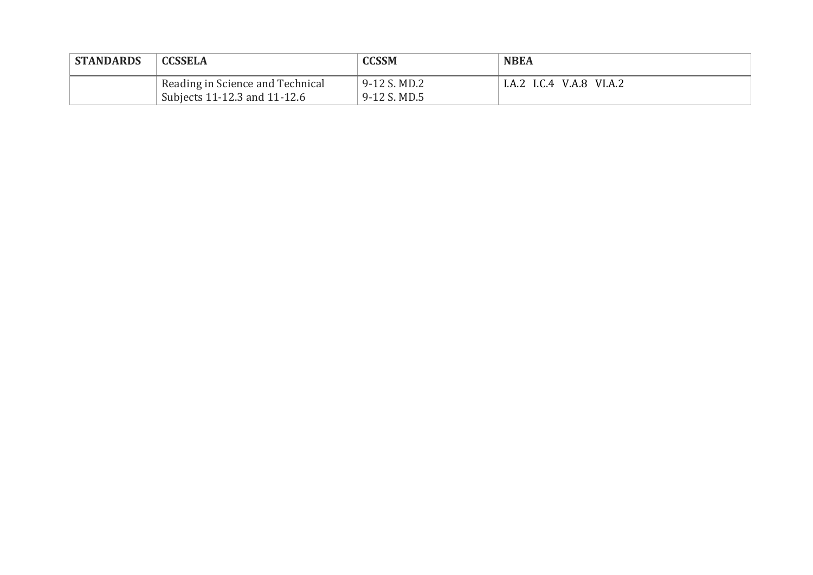| <b>STANDARDS</b> | <b>CCSSELA</b>                                                   | <b>CCSSM</b>                   | <b>NBEA</b>              |  |
|------------------|------------------------------------------------------------------|--------------------------------|--------------------------|--|
|                  | Reading in Science and Technical<br>Subjects 11-12.3 and 11-12.6 | 9-12 S. MD.2<br>$9-12$ S. MD.5 | I.A.2 I.C.4 V.A.8 VI.A.2 |  |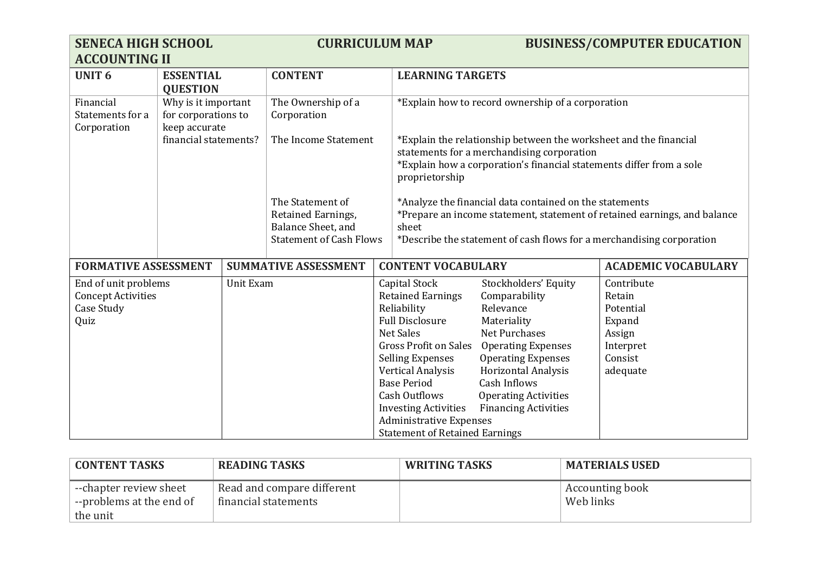| <b>SENECA HIGH SCHOOL</b><br><b>ACCOUNTING II</b>                       |                                            |                  | <b>CURRICULUM MAP</b>                                                                          |                                                                                                                                                                                                           | <b>BUSINESS/COMPUTER EDUCATION</b>                                                                                                                                                                                     |                                                                                                                                                                                                                                                                 |                                                                                           |
|-------------------------------------------------------------------------|--------------------------------------------|------------------|------------------------------------------------------------------------------------------------|-----------------------------------------------------------------------------------------------------------------------------------------------------------------------------------------------------------|------------------------------------------------------------------------------------------------------------------------------------------------------------------------------------------------------------------------|-----------------------------------------------------------------------------------------------------------------------------------------------------------------------------------------------------------------------------------------------------------------|-------------------------------------------------------------------------------------------|
| <b>UNIT 6</b>                                                           | <b>ESSENTIAL</b><br><b>QUESTION</b>        |                  | <b>CONTENT</b>                                                                                 |                                                                                                                                                                                                           | <b>LEARNING TARGETS</b>                                                                                                                                                                                                |                                                                                                                                                                                                                                                                 |                                                                                           |
| Financial<br>Statements for a<br>Corporation                            | Why is it important<br>for corporations to |                  | The Ownership of a<br>Corporation                                                              |                                                                                                                                                                                                           |                                                                                                                                                                                                                        | *Explain how to record ownership of a corporation                                                                                                                                                                                                               |                                                                                           |
|                                                                         | keep accurate<br>financial statements?     |                  | The Income Statement                                                                           | *Explain the relationship between the worksheet and the financial<br>statements for a merchandising corporation<br>*Explain how a corporation's financial statements differ from a sole<br>proprietorship |                                                                                                                                                                                                                        |                                                                                                                                                                                                                                                                 |                                                                                           |
|                                                                         |                                            |                  | The Statement of<br>Retained Earnings,<br>Balance Sheet, and<br><b>Statement of Cash Flows</b> |                                                                                                                                                                                                           | *Analyze the financial data contained on the statements<br>*Prepare an income statement, statement of retained earnings, and balance<br>sheet<br>*Describe the statement of cash flows for a merchandising corporation |                                                                                                                                                                                                                                                                 |                                                                                           |
| <b>FORMATIVE ASSESSMENT</b>                                             |                                            |                  | <b>SUMMATIVE ASSESSMENT</b>                                                                    | <b>CONTENT VOCABULARY</b>                                                                                                                                                                                 |                                                                                                                                                                                                                        |                                                                                                                                                                                                                                                                 | <b>ACADEMIC VOCABULARY</b>                                                                |
| End of unit problems<br><b>Concept Activities</b><br>Case Study<br>Quiz |                                            | <b>Unit Exam</b> |                                                                                                | Capital Stock<br>Reliability<br><b>Full Disclosure</b><br><b>Net Sales</b><br><b>Selling Expenses</b><br><b>Vertical Analysis</b><br><b>Base Period</b><br><b>Cash Outflows</b>                           | <b>Retained Earnings</b><br><b>Gross Profit on Sales</b><br><b>Investing Activities</b><br><b>Administrative Expenses</b><br><b>Statement of Retained Earnings</b>                                                     | Stockholders' Equity<br>Comparability<br>Relevance<br>Materiality<br><b>Net Purchases</b><br><b>Operating Expenses</b><br><b>Operating Expenses</b><br><b>Horizontal Analysis</b><br>Cash Inflows<br><b>Operating Activities</b><br><b>Financing Activities</b> | Contribute<br>Retain<br>Potential<br>Expand<br>Assign<br>Interpret<br>Consist<br>adequate |

| <b>CONTENT TASKS</b>                               | <b>READING TASKS</b>                               | <b>WRITING TASKS</b> | <b>MATERIALS USED</b>        |
|----------------------------------------------------|----------------------------------------------------|----------------------|------------------------------|
| --chapter review sheet<br>--problems at the end of | Read and compare different<br>financial statements |                      | Accounting book<br>Web links |
| the unit                                           |                                                    |                      |                              |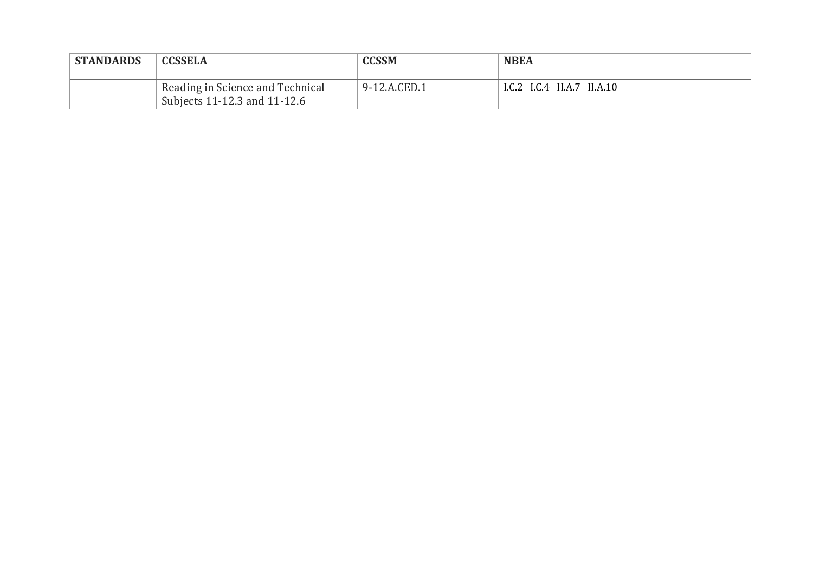| <b>STANDARDS</b> | <b>CCSSELA</b>                                                   | <b>CCSSM</b> | <b>NBEA</b>                |
|------------------|------------------------------------------------------------------|--------------|----------------------------|
|                  | Reading in Science and Technical<br>Subjects 11-12.3 and 11-12.6 | 9-12.A.CED.1 | I.C.2 I.C.4 II.A.7 II.A.10 |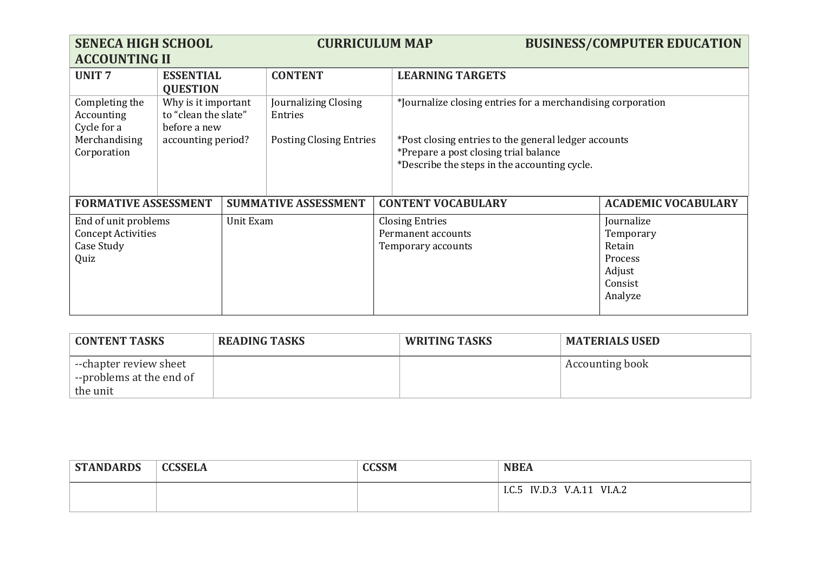| <b>SENECA HIGH SCHOOL</b><br><b>ACCOUNTING II</b>                                    |                                                             | <b>CURRICULUM MAP</b> |                                 |                                                                    | <b>BUSINESS/COMPUTER EDUCATION</b>                                                                                                            |                                                                              |                            |
|--------------------------------------------------------------------------------------|-------------------------------------------------------------|-----------------------|---------------------------------|--------------------------------------------------------------------|-----------------------------------------------------------------------------------------------------------------------------------------------|------------------------------------------------------------------------------|----------------------------|
| <b>UNIT7</b>                                                                         | <b>ESSENTIAL</b><br><b>QUESTION</b>                         | <b>CONTENT</b>        |                                 |                                                                    | <b>LEARNING TARGETS</b>                                                                                                                       |                                                                              |                            |
| Completing the<br>Accounting<br>Cycle for a                                          | Why is it important<br>to "clean the slate"<br>before a new |                       | Journalizing Closing<br>Entries |                                                                    | *Journalize closing entries for a merchandising corporation                                                                                   |                                                                              |                            |
| Merchandising<br>Corporation                                                         | accounting period?                                          |                       | <b>Posting Closing Entries</b>  |                                                                    | *Post closing entries to the general ledger accounts<br>*Prepare a post closing trial balance<br>*Describe the steps in the accounting cycle. |                                                                              |                            |
| <b>FORMATIVE ASSESSMENT</b>                                                          |                                                             |                       | <b>SUMMATIVE ASSESSMENT</b>     |                                                                    | <b>CONTENT VOCABULARY</b>                                                                                                                     |                                                                              | <b>ACADEMIC VOCABULARY</b> |
| End of unit problems<br>Unit Exam<br><b>Concept Activities</b><br>Case Study<br>Quiz |                                                             |                       |                                 | <b>Closing Entries</b><br>Permanent accounts<br>Temporary accounts |                                                                                                                                               | Journalize<br>Temporary<br>Retain<br>Process<br>Adjust<br>Consist<br>Analyze |                            |

| <b>CONTENT TASKS</b>                               | <b>READING TASKS</b> | WRITING TASKS | <b>MATERIALS USED</b>  |
|----------------------------------------------------|----------------------|---------------|------------------------|
| --chapter review sheet<br>--problems at the end of |                      |               | <b>Accounting book</b> |
| the unit                                           |                      |               |                        |

| <b>STANDARDS</b> | <b>CCSSELA</b> | <b>CCSSM</b> | <b>NBEA</b>                         |  |
|------------------|----------------|--------------|-------------------------------------|--|
|                  |                |              | IV.D.3<br>VI.A.2<br>V.A.11<br>I.C.5 |  |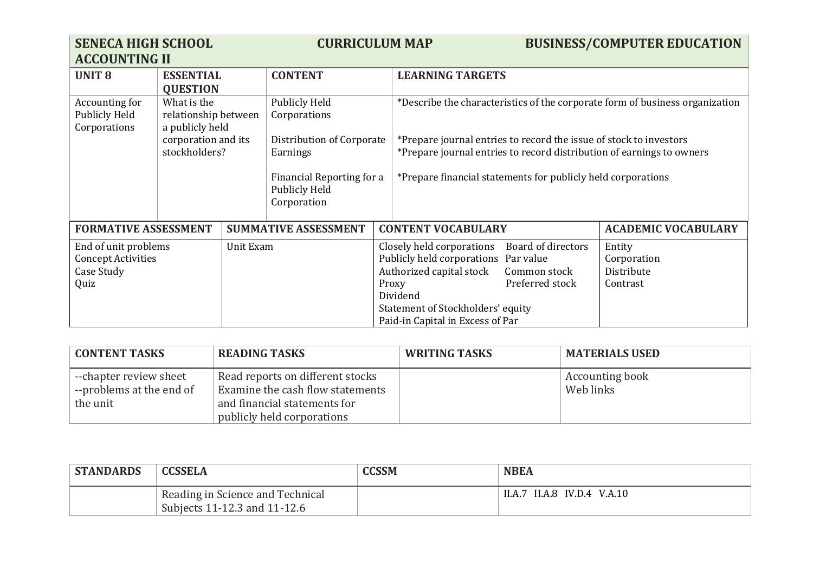| <b>SENECA HIGH SCHOOL</b><br><b>ACCOUNTING II</b>                                    |                                                                                                                                                                                                                                       | <b>CURRICULUM MAP</b> |                             |                                                                                                                                                                                                                                                                                             |                           | <b>BUSINESS/COMPUTER EDUCATION</b>              |                            |
|--------------------------------------------------------------------------------------|---------------------------------------------------------------------------------------------------------------------------------------------------------------------------------------------------------------------------------------|-----------------------|-----------------------------|---------------------------------------------------------------------------------------------------------------------------------------------------------------------------------------------------------------------------------------------------------------------------------------------|---------------------------|-------------------------------------------------|----------------------------|
| <b>UNIT 8</b>                                                                        | <b>ESSENTIAL</b><br><b>QUESTION</b>                                                                                                                                                                                                   |                       | <b>CONTENT</b>              |                                                                                                                                                                                                                                                                                             | <b>LEARNING TARGETS</b>   |                                                 |                            |
| Accounting for<br><b>Publicly Held</b><br>Corporations                               | What is the<br>Publicly Held<br>relationship between<br>Corporations<br>a publicly held<br>corporation and its<br>Distribution of Corporate<br>stockholders?<br>Earnings<br>Financial Reporting for a<br>Publicly Held<br>Corporation |                       |                             | *Describe the characteristics of the corporate form of business organization<br>*Prepare journal entries to record the issue of stock to investors<br>*Prepare journal entries to record distribution of earnings to owners<br>*Prepare financial statements for publicly held corporations |                           |                                                 |                            |
| <b>FORMATIVE ASSESSMENT</b>                                                          |                                                                                                                                                                                                                                       |                       | <b>SUMMATIVE ASSESSMENT</b> |                                                                                                                                                                                                                                                                                             | <b>CONTENT VOCABULARY</b> |                                                 | <b>ACADEMIC VOCABULARY</b> |
| End of unit problems<br>Unit Exam<br><b>Concept Activities</b><br>Case Study<br>Quiz |                                                                                                                                                                                                                                       | Proxy                 |                             | Board of directors<br>Closely held corporations<br>Publicly held corporations<br>Par value<br>Authorized capital stock<br>Common stock<br>Preferred stock<br>Dividend<br>Statement of Stockholders' equity<br>Paid-in Capital in Excess of Par                                              |                           | Entity<br>Corporation<br>Distribute<br>Contrast |                            |

| <b>CONTENT TASKS</b>                                           | <b>READING TASKS</b>                                                                                                               | <b>WRITING TASKS</b> | <b>MATERIALS USED</b>               |
|----------------------------------------------------------------|------------------------------------------------------------------------------------------------------------------------------------|----------------------|-------------------------------------|
| --chapter review sheet<br>--problems at the end of<br>the unit | Read reports on different stocks<br>Examine the cash flow statements<br>and financial statements for<br>publicly held corporations |                      | <b>Accounting book</b><br>Web links |

| <b>STANDARDS</b> | <b>CCSSELA</b>                                                   | <b>CCSSM</b> | <b>NBEA</b>                 |
|------------------|------------------------------------------------------------------|--------------|-----------------------------|
|                  | Reading in Science and Technical<br>Subjects 11-12.3 and 11-12.6 |              | II.A.7 II.A.8 IV.D.4 V.A.10 |